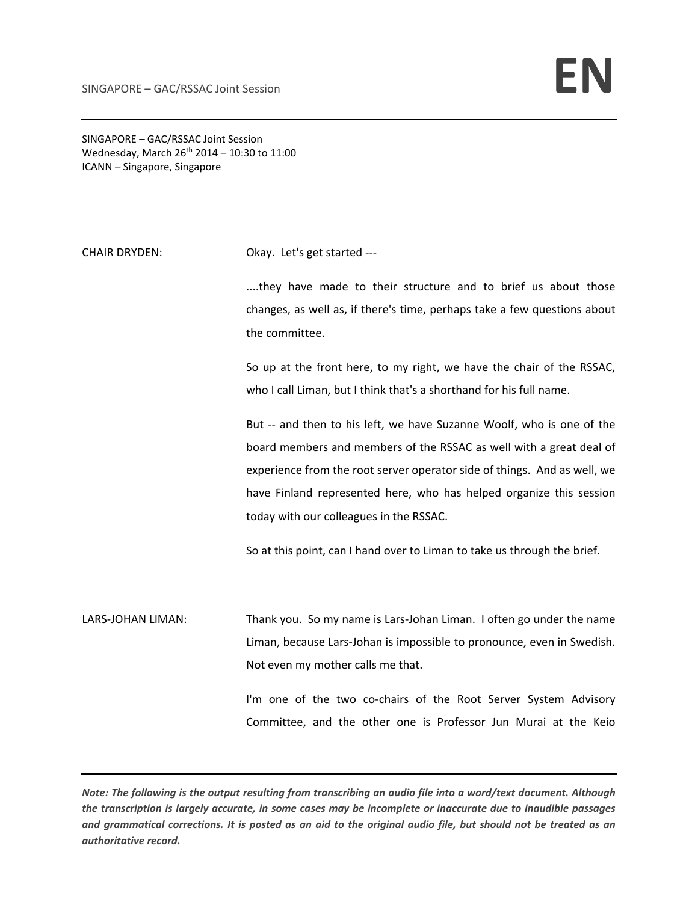SINGAPORE – GAC/RSSAC Joint Session Wednesday, March  $26^{th}$  2014 – 10:30 to 11:00 ICANN – Singapore, Singapore

CHAIR DRYDEN: Okay. Let's get started ---

....they have made to their structure and to brief us about those changes, as well as, if there's time, perhaps take a few questions about the committee.

So up at the front here, to my right, we have the chair of the RSSAC, who I call Liman, but I think that's a shorthand for his full name.

But -- and then to his left, we have Suzanne Woolf, who is one of the board members and members of the RSSAC as well with a great deal of experience from the root server operator side of things. And as well, we have Finland represented here, who has helped organize this session today with our colleagues in the RSSAC.

So at this point, can I hand over to Liman to take us through the brief.

LARS-JOHAN LIMAN: Thank you. So my name is Lars-Johan Liman. I often go under the name Liman, because Lars‐Johan is impossible to pronounce, even in Swedish. Not even my mother calls me that.

> I'm one of the two co-chairs of the Root Server System Advisory Committee, and the other one is Professor Jun Murai at the Keio

Note: The following is the output resulting from transcribing an audio file into a word/text document. Although the transcription is largely accurate, in some cases may be incomplete or inaccurate due to inaudible passages and grammatical corrections. It is posted as an aid to the original audio file, but should not be treated as an *authoritative record.*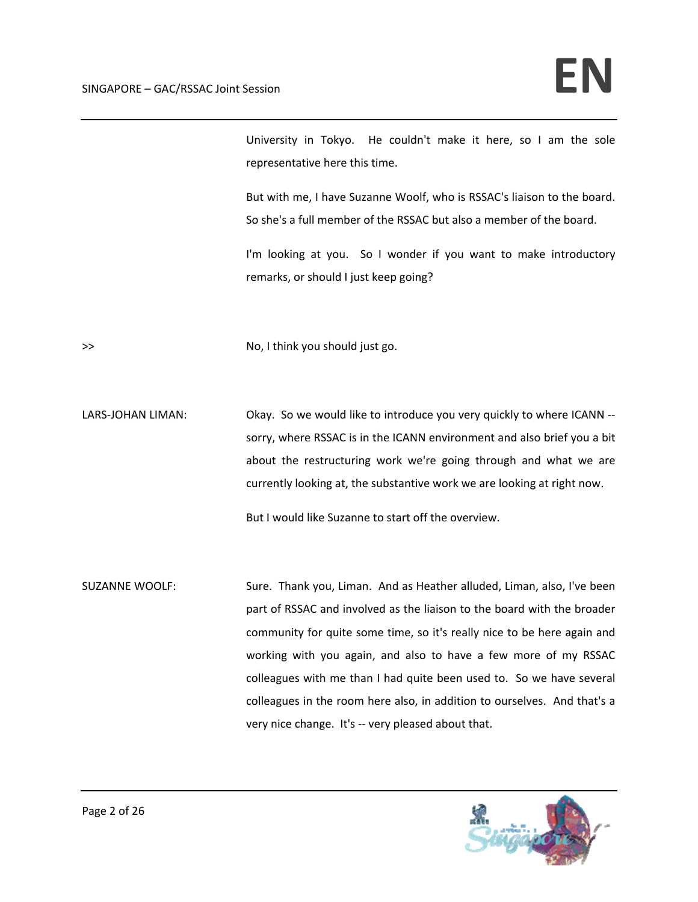University in Tokyo. He couldn't make it here, so I am the sole representative here this time.

But with me, I have Suzanne Woolf, who is RSSAC's liaison to the board. So she's a full member of the RSSAC but also a member of the board.

I'm looking at you. So I wonder if you want to make introductory remarks, or should I just keep going?

>> No, I think you should just go.

LARS-JOHAN LIMAN: Chay. So we would like to introduce you very quickly to where ICANN -sorry, where RSSAC is in the ICANN environment and also brief you a bit about the restructuring work we're going through and what we are currently looking at, the substantive work we are looking at right now.

But I would like Suzanne to start off the overview.

SUZANNE WOOLF: Sure. Thank you, Liman. And as Heather alluded, Liman, also, I've been part of RSSAC and involved as the liaison to the board with the broader community for quite some time, so it's really nice to be here again and working with you again, and also to have a few more of my RSSAC colleagues with me than I had quite been used to. So we have several colleagues in the room here also, in addition to ourselves. And that's a very nice change. It's -- very pleased about that.

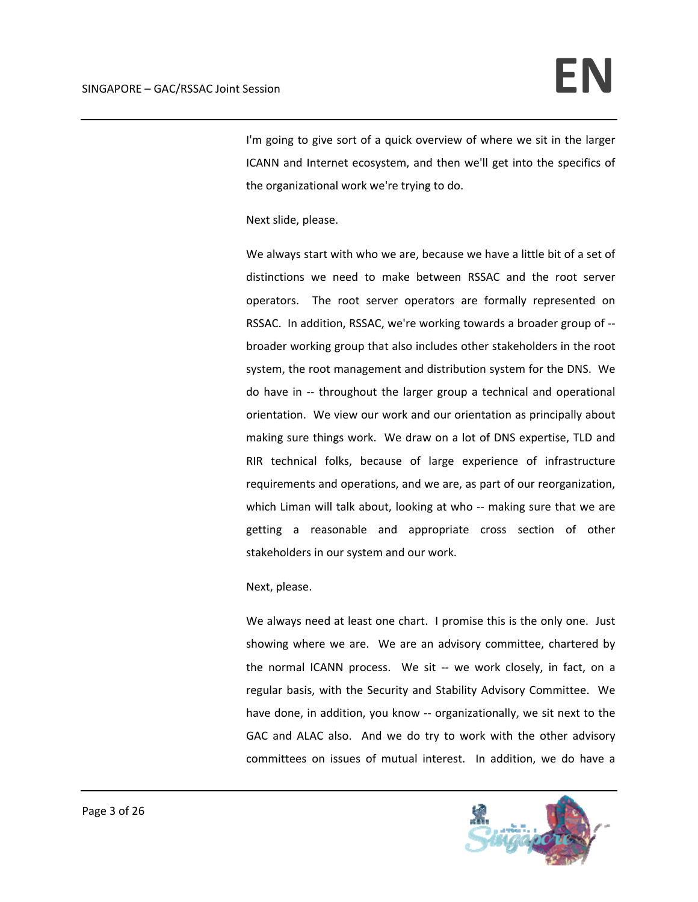I'm going to give sort of a quick overview of where we sit in the larger ICANN and Internet ecosystem, and then we'll get into the specifics of the organizational work we're trying to do.

Next slide, please.

We always start with who we are, because we have a little bit of a set of distinctions we need to make between RSSAC and the root server operators. The root server operators are formally represented on RSSAC. In addition, RSSAC, we're working towards a broader group of ‐‐ broader working group that also includes other stakeholders in the root system, the root management and distribution system for the DNS. We do have in ‐‐ throughout the larger group a technical and operational orientation. We view our work and our orientation as principally about making sure things work. We draw on a lot of DNS expertise, TLD and RIR technical folks, because of large experience of infrastructure requirements and operations, and we are, as part of our reorganization, which Liman will talk about, looking at who -- making sure that we are getting a reasonable and appropriate cross section of other stakeholders in our system and our work.

## Next, please.

We always need at least one chart. I promise this is the only one. Just showing where we are. We are an advisory committee, chartered by the normal ICANN process. We sit -- we work closely, in fact, on a regular basis, with the Security and Stability Advisory Committee. We have done, in addition, you know -- organizationally, we sit next to the GAC and ALAC also. And we do try to work with the other advisory committees on issues of mutual interest. In addition, we do have a

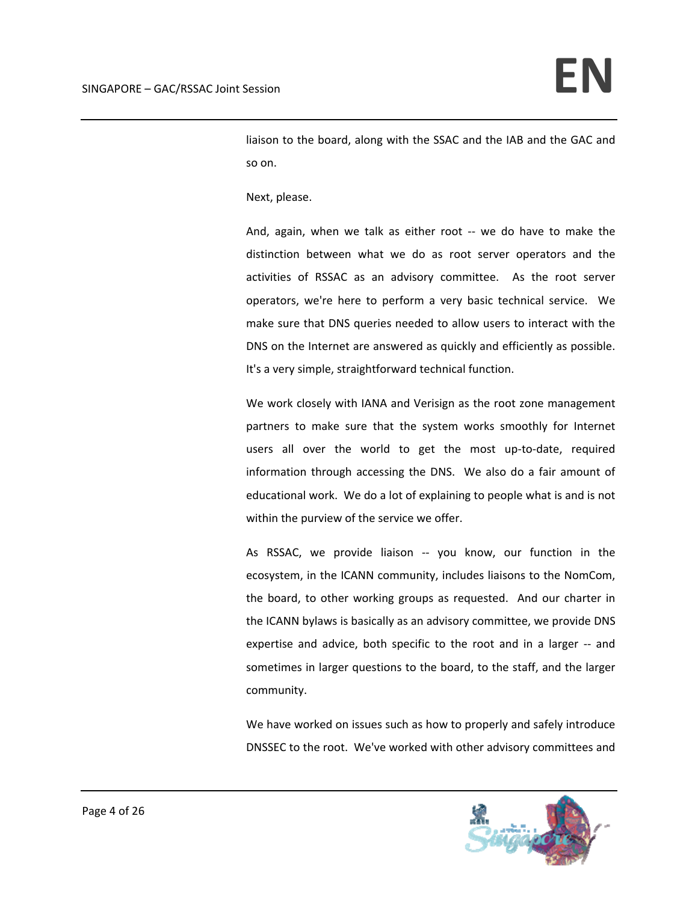liaison to the board, along with the SSAC and the IAB and the GAC and so on.

Next, please.

And, again, when we talk as either root -- we do have to make the distinction between what we do as root server operators and the activities of RSSAC as an advisory committee. As the root server operators, we're here to perform a very basic technical service. We make sure that DNS queries needed to allow users to interact with the DNS on the Internet are answered as quickly and efficiently as possible. It's a very simple, straightforward technical function.

We work closely with IANA and Verisign as the root zone management partners to make sure that the system works smoothly for Internet users all over the world to get the most up-to-date, required information through accessing the DNS. We also do a fair amount of educational work. We do a lot of explaining to people what is and is not within the purview of the service we offer.

As RSSAC, we provide liaison -- you know, our function in the ecosystem, in the ICANN community, includes liaisons to the NomCom, the board, to other working groups as requested. And our charter in the ICANN bylaws is basically as an advisory committee, we provide DNS expertise and advice, both specific to the root and in a larger -- and sometimes in larger questions to the board, to the staff, and the larger community.

We have worked on issues such as how to properly and safely introduce DNSSEC to the root. We've worked with other advisory committees and

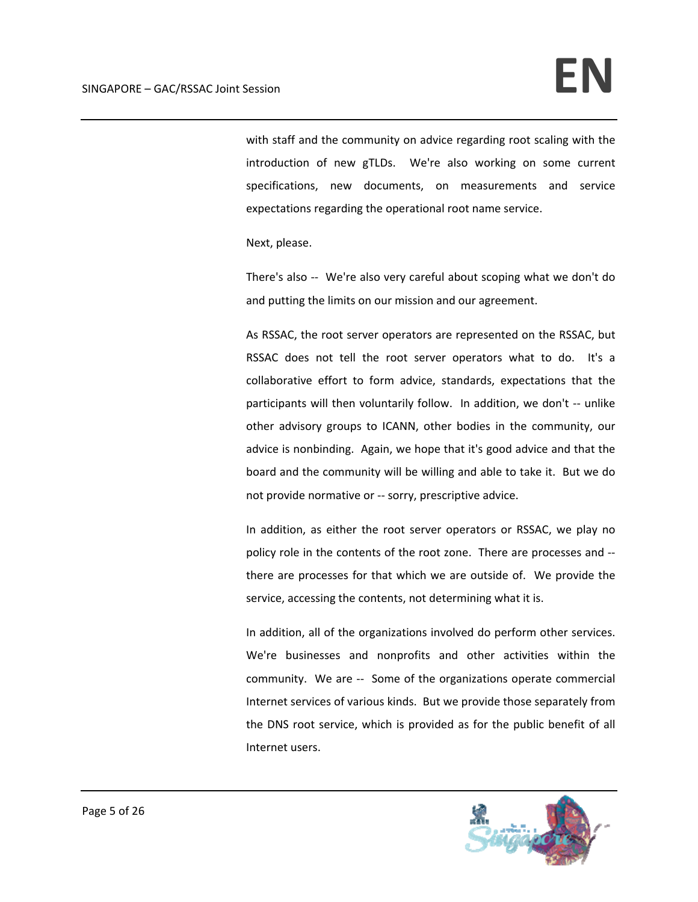with staff and the community on advice regarding root scaling with the introduction of new gTLDs. We're also working on some current specifications, new documents, on measurements and service expectations regarding the operational root name service.

Next, please.

There's also ‐‐ We're also very careful about scoping what we don't do and putting the limits on our mission and our agreement.

As RSSAC, the root server operators are represented on the RSSAC, but RSSAC does not tell the root server operators what to do. It's a collaborative effort to form advice, standards, expectations that the participants will then voluntarily follow. In addition, we don't ‐‐ unlike other advisory groups to ICANN, other bodies in the community, our advice is nonbinding. Again, we hope that it's good advice and that the board and the community will be willing and able to take it. But we do not provide normative or ‐‐ sorry, prescriptive advice.

In addition, as either the root server operators or RSSAC, we play no policy role in the contents of the root zone. There are processes and ‐‐ there are processes for that which we are outside of. We provide the service, accessing the contents, not determining what it is.

In addition, all of the organizations involved do perform other services. We're businesses and nonprofits and other activities within the community. We are -- Some of the organizations operate commercial Internet services of various kinds. But we provide those separately from the DNS root service, which is provided as for the public benefit of all Internet users.

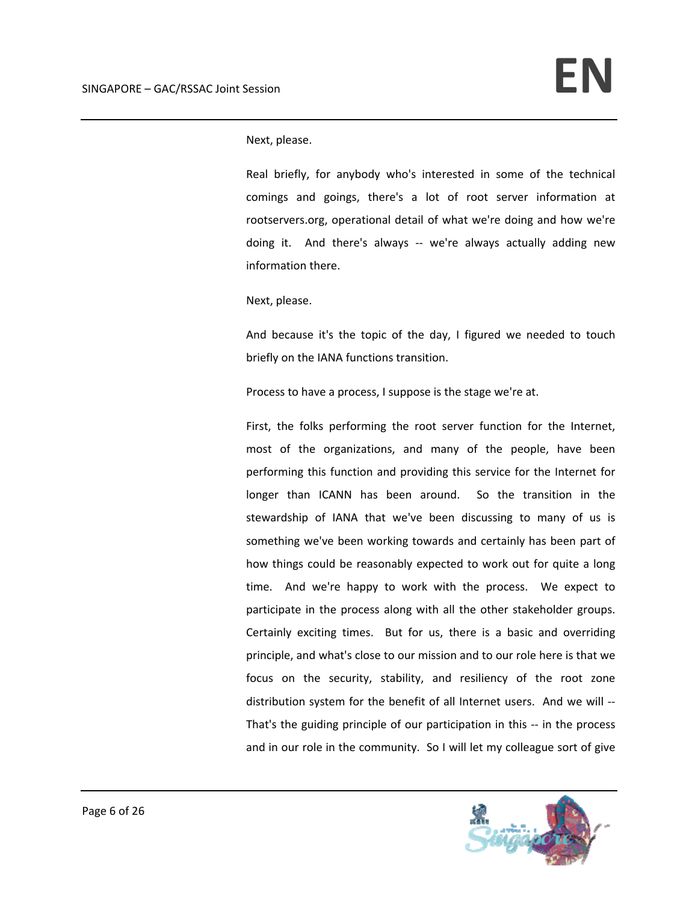Next, please.

Real briefly, for anybody who's interested in some of the technical comings and goings, there's a lot of root server information at rootservers.org, operational detail of what we're doing and how we're doing it. And there's always -- we're always actually adding new information there.

Next, please.

And because it's the topic of the day, I figured we needed to touch briefly on the IANA functions transition.

Process to have a process, I suppose is the stage we're at.

First, the folks performing the root server function for the Internet, most of the organizations, and many of the people, have been performing this function and providing this service for the Internet for longer than ICANN has been around. So the transition in the stewardship of IANA that we've been discussing to many of us is something we've been working towards and certainly has been part of how things could be reasonably expected to work out for quite a long time. And we're happy to work with the process. We expect to participate in the process along with all the other stakeholder groups. Certainly exciting times. But for us, there is a basic and overriding principle, and what's close to our mission and to our role here is that we focus on the security, stability, and resiliency of the root zone distribution system for the benefit of all Internet users. And we will ‐‐ That's the guiding principle of our participation in this ‐‐ in the process and in our role in the community. So I will let my colleague sort of give

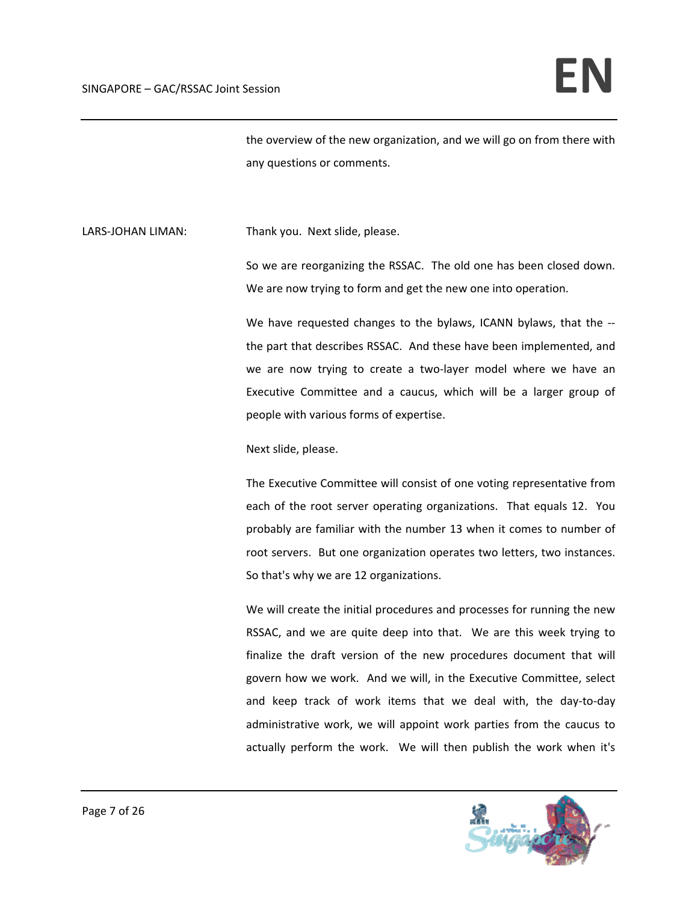the overview of the new organization, and we will go on from there with any questions or comments.

LARS-JOHAN LIMAN: Thank you. Next slide, please.

So we are reorganizing the RSSAC. The old one has been closed down. We are now trying to form and get the new one into operation.

We have requested changes to the bylaws, ICANN bylaws, that the -the part that describes RSSAC. And these have been implemented, and we are now trying to create a two-layer model where we have an Executive Committee and a caucus, which will be a larger group of people with various forms of expertise.

## Next slide, please.

The Executive Committee will consist of one voting representative from each of the root server operating organizations. That equals 12. You probably are familiar with the number 13 when it comes to number of root servers. But one organization operates two letters, two instances. So that's why we are 12 organizations.

We will create the initial procedures and processes for running the new RSSAC, and we are quite deep into that. We are this week trying to finalize the draft version of the new procedures document that will govern how we work. And we will, in the Executive Committee, select and keep track of work items that we deal with, the day‐to‐day administrative work, we will appoint work parties from the caucus to actually perform the work. We will then publish the work when it's

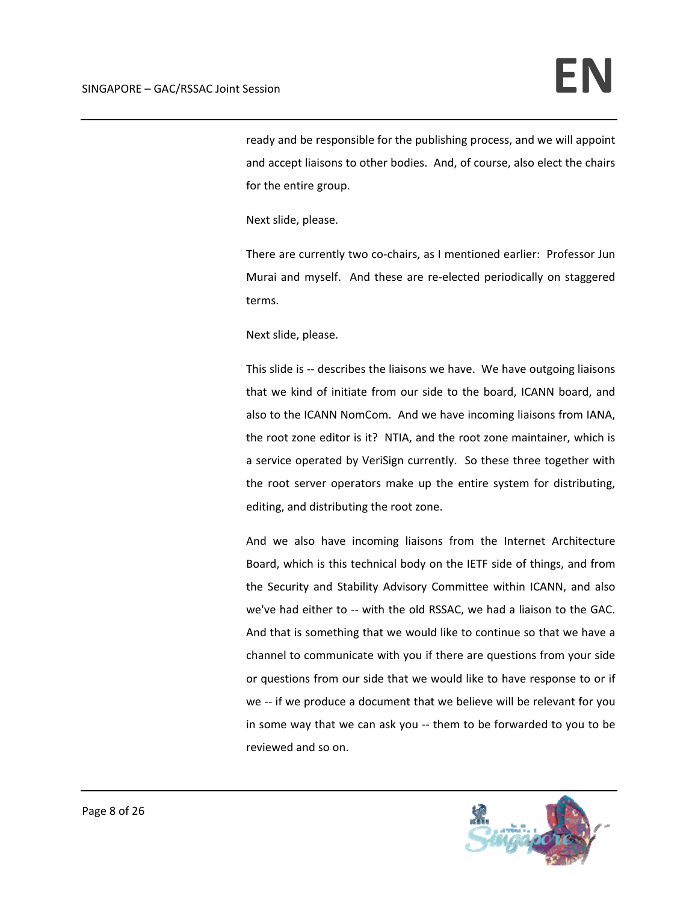ready and be responsible for the publishing process, and we will appoint and accept liaisons to other bodies. And, of course, also elect the chairs for the entire group.

Next slide, please.

There are currently two co-chairs, as I mentioned earlier: Professor Jun Murai and myself. And these are re-elected periodically on staggered terms.

Next slide, please.

This slide is -- describes the liaisons we have. We have outgoing liaisons that we kind of initiate from our side to the board, ICANN board, and also to the ICANN NomCom. And we have incoming liaisons from IANA, the root zone editor is it? NTIA, and the root zone maintainer, which is a service operated by VeriSign currently. So these three together with the root server operators make up the entire system for distributing, editing, and distributing the root zone.

And we also have incoming liaisons from the Internet Architecture Board, which is this technical body on the IETF side of things, and from the Security and Stability Advisory Committee within ICANN, and also we've had either to -- with the old RSSAC, we had a liaison to the GAC. And that is something that we would like to continue so that we have a channel to communicate with you if there are questions from your side or questions from our side that we would like to have response to or if we -- if we produce a document that we believe will be relevant for you in some way that we can ask you ‐‐ them to be forwarded to you to be reviewed and so on.

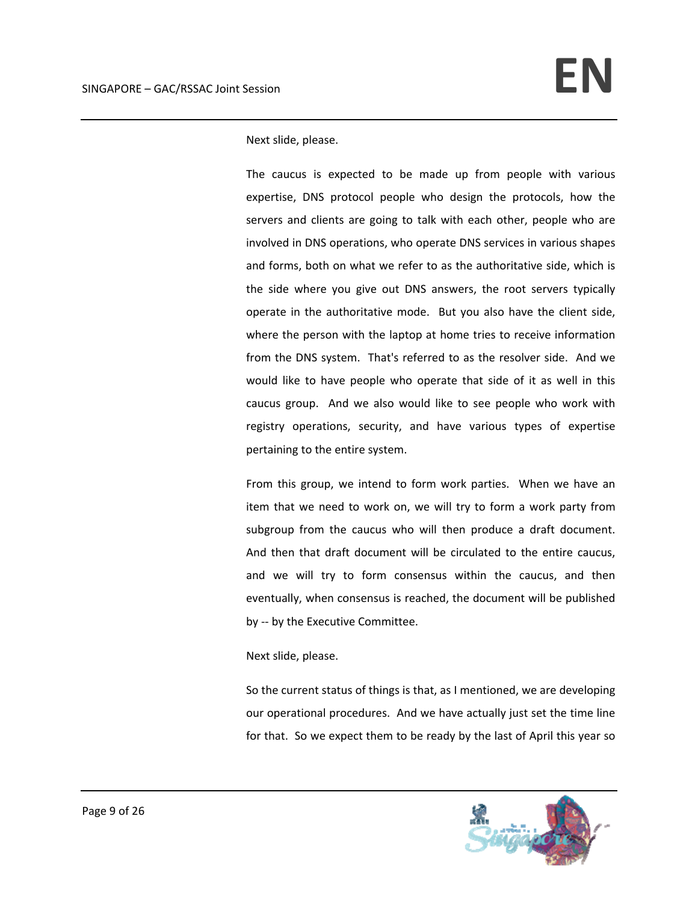Next slide, please.

The caucus is expected to be made up from people with various expertise, DNS protocol people who design the protocols, how the servers and clients are going to talk with each other, people who are involved in DNS operations, who operate DNS services in various shapes and forms, both on what we refer to as the authoritative side, which is the side where you give out DNS answers, the root servers typically operate in the authoritative mode. But you also have the client side, where the person with the laptop at home tries to receive information from the DNS system. That's referred to as the resolver side. And we would like to have people who operate that side of it as well in this caucus group. And we also would like to see people who work with registry operations, security, and have various types of expertise pertaining to the entire system.

From this group, we intend to form work parties. When we have an item that we need to work on, we will try to form a work party from subgroup from the caucus who will then produce a draft document. And then that draft document will be circulated to the entire caucus, and we will try to form consensus within the caucus, and then eventually, when consensus is reached, the document will be published by -- by the Executive Committee.

## Next slide, please.

So the current status of things is that, as I mentioned, we are developing our operational procedures. And we have actually just set the time line for that. So we expect them to be ready by the last of April this year so

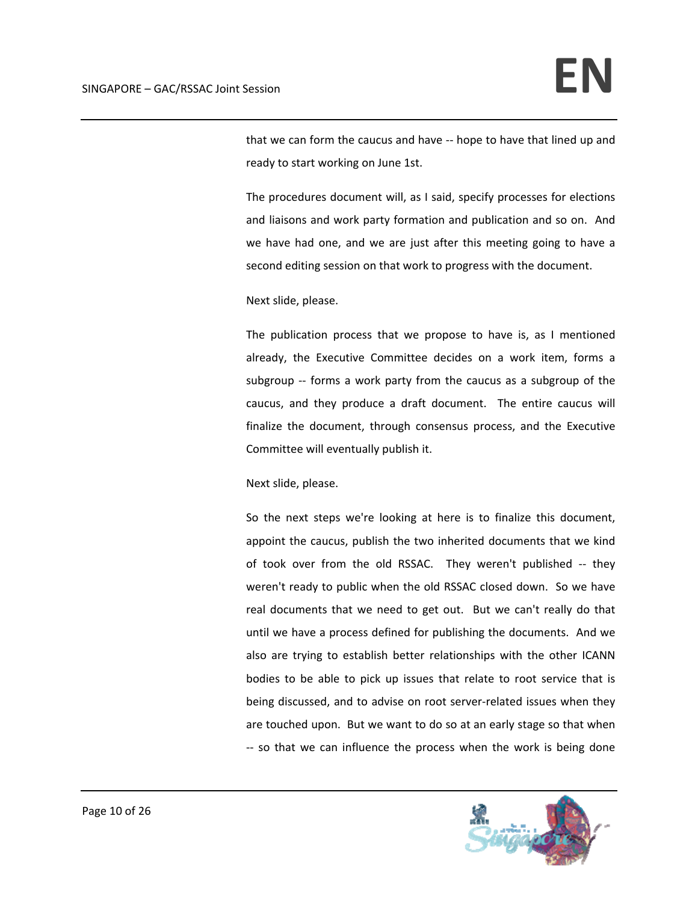that we can form the caucus and have ‐‐ hope to have that lined up and ready to start working on June 1st.

The procedures document will, as I said, specify processes for elections and liaisons and work party formation and publication and so on. And we have had one, and we are just after this meeting going to have a second editing session on that work to progress with the document.

Next slide, please.

The publication process that we propose to have is, as I mentioned already, the Executive Committee decides on a work item, forms a subgroup -- forms a work party from the caucus as a subgroup of the caucus, and they produce a draft document. The entire caucus will finalize the document, through consensus process, and the Executive Committee will eventually publish it.

Next slide, please.

So the next steps we're looking at here is to finalize this document, appoint the caucus, publish the two inherited documents that we kind of took over from the old RSSAC. They weren't published -- they weren't ready to public when the old RSSAC closed down. So we have real documents that we need to get out. But we can't really do that until we have a process defined for publishing the documents. And we also are trying to establish better relationships with the other ICANN bodies to be able to pick up issues that relate to root service that is being discussed, and to advise on root server-related issues when they are touched upon. But we want to do so at an early stage so that when ‐‐ so that we can influence the process when the work is being done

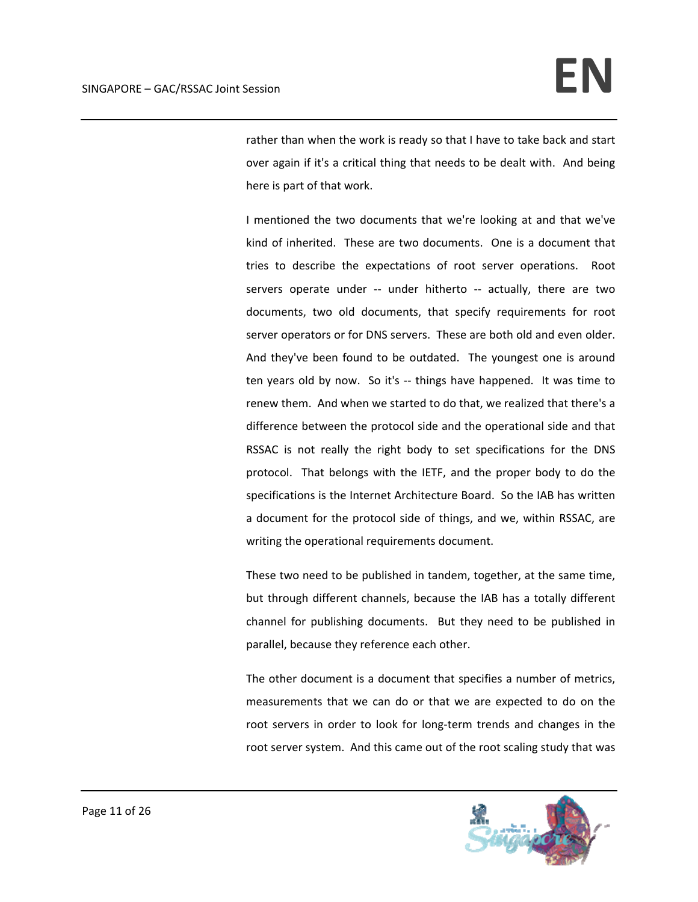rather than when the work is ready so that I have to take back and start over again if it's a critical thing that needs to be dealt with. And being here is part of that work.

I mentioned the two documents that we're looking at and that we've kind of inherited. These are two documents. One is a document that tries to describe the expectations of root server operations. Root servers operate under -- under hitherto -- actually, there are two documents, two old documents, that specify requirements for root server operators or for DNS servers. These are both old and even older. And they've been found to be outdated. The youngest one is around ten years old by now. So it's -- things have happened. It was time to renew them. And when we started to do that, we realized that there's a difference between the protocol side and the operational side and that RSSAC is not really the right body to set specifications for the DNS protocol. That belongs with the IETF, and the proper body to do the specifications is the Internet Architecture Board. So the IAB has written a document for the protocol side of things, and we, within RSSAC, are writing the operational requirements document.

These two need to be published in tandem, together, at the same time, but through different channels, because the IAB has a totally different channel for publishing documents. But they need to be published in parallel, because they reference each other.

The other document is a document that specifies a number of metrics, measurements that we can do or that we are expected to do on the root servers in order to look for long-term trends and changes in the root server system. And this came out of the root scaling study that was

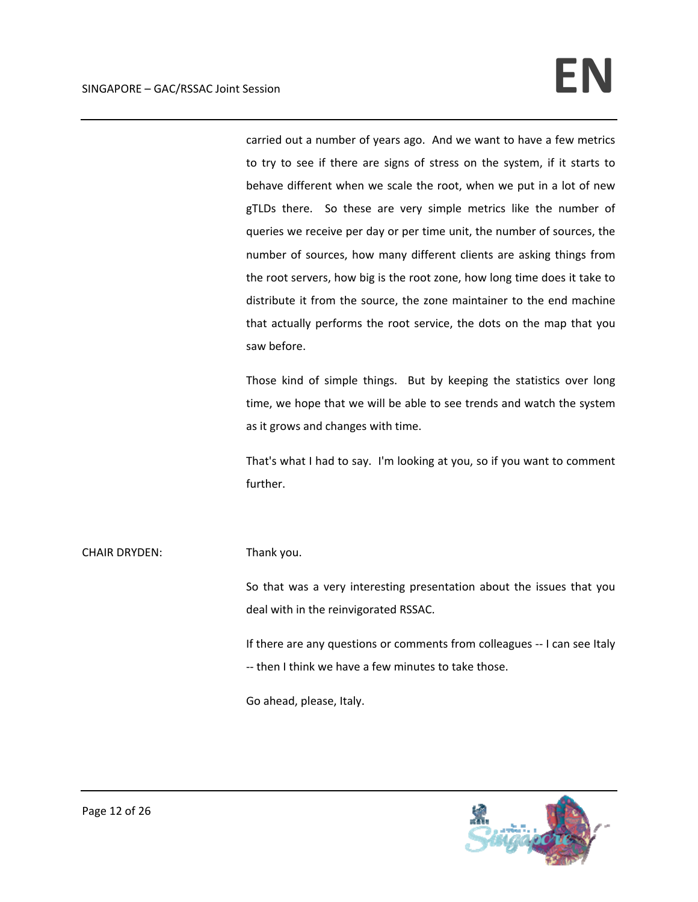carried out a number of years ago. And we want to have a few metrics to try to see if there are signs of stress on the system, if it starts to behave different when we scale the root, when we put in a lot of new gTLDs there. So these are very simple metrics like the number of queries we receive per day or per time unit, the number of sources, the number of sources, how many different clients are asking things from the root servers, how big is the root zone, how long time does it take to distribute it from the source, the zone maintainer to the end machine that actually performs the root service, the dots on the map that you saw before.

Those kind of simple things. But by keeping the statistics over long time, we hope that we will be able to see trends and watch the system as it grows and changes with time.

That's what I had to say. I'm looking at you, so if you want to comment further.

# CHAIR DRYDEN: Thank you.

So that was a very interesting presentation about the issues that you deal with in the reinvigorated RSSAC.

If there are any questions or comments from colleagues ‐‐ I can see Italy ‐‐ then I think we have a few minutes to take those.

Go ahead, please, Italy.

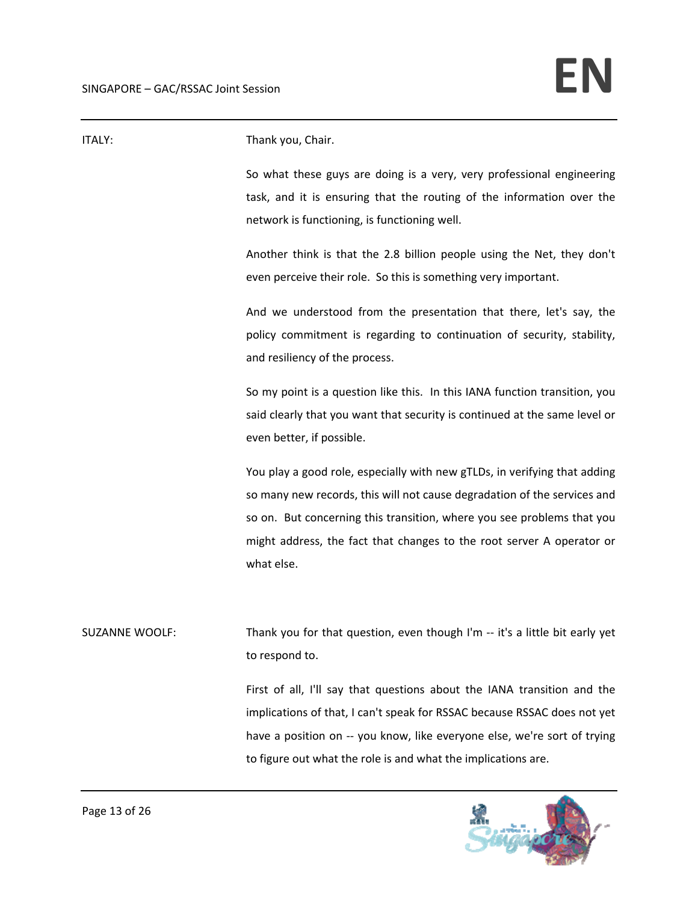| ITALY:                | Thank you, Chair.                                                                                                                                                                                                                                                                                                      |
|-----------------------|------------------------------------------------------------------------------------------------------------------------------------------------------------------------------------------------------------------------------------------------------------------------------------------------------------------------|
|                       | So what these guys are doing is a very, very professional engineering<br>task, and it is ensuring that the routing of the information over the<br>network is functioning, is functioning well.                                                                                                                         |
|                       | Another think is that the 2.8 billion people using the Net, they don't<br>even perceive their role. So this is something very important.                                                                                                                                                                               |
|                       | And we understood from the presentation that there, let's say, the<br>policy commitment is regarding to continuation of security, stability,<br>and resiliency of the process.                                                                                                                                         |
|                       | So my point is a question like this. In this IANA function transition, you<br>said clearly that you want that security is continued at the same level or<br>even better, if possible.                                                                                                                                  |
|                       | You play a good role, especially with new gTLDs, in verifying that adding<br>so many new records, this will not cause degradation of the services and<br>so on. But concerning this transition, where you see problems that you<br>might address, the fact that changes to the root server A operator or<br>what else. |
| <b>SUZANNE WOOLF:</b> | Thank you for that question, even though I'm -- it's a little bit early yet<br>to respond to.                                                                                                                                                                                                                          |
|                       | First of all, I'll say that questions about the IANA transition and the<br>implications of that, I can't speak for RSSAC because RSSAC does not yet<br>have a position on -- you know, like everyone else, we're sort of trying<br>to figure out what the role is and what the implications are.                       |

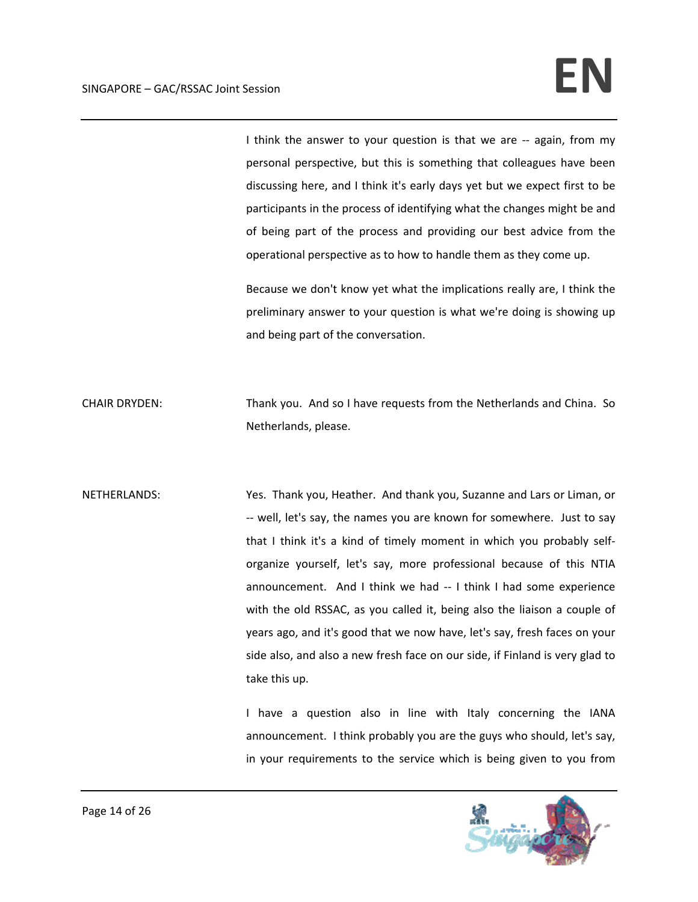I think the answer to your question is that we are -- again, from my personal perspective, but this is something that colleagues have been discussing here, and I think it's early days yet but we expect first to be participants in the process of identifying what the changes might be and of being part of the process and providing our best advice from the operational perspective as to how to handle them as they come up.

Because we don't know yet what the implications really are, I think the preliminary answer to your question is what we're doing is showing up and being part of the conversation.

CHAIR DRYDEN: Thank you. And so I have requests from the Netherlands and China. So Netherlands, please.

NETHERLANDS: Yes. Thank you, Heather. And thank you, Suzanne and Lars or Liman, or ‐‐ well, let's say, the names you are known for somewhere. Just to say that I think it's a kind of timely moment in which you probably self‐ organize yourself, let's say, more professional because of this NTIA announcement. And I think we had -- I think I had some experience with the old RSSAC, as you called it, being also the liaison a couple of years ago, and it's good that we now have, let's say, fresh faces on your side also, and also a new fresh face on our side, if Finland is very glad to take this up.

> I have a question also in line with Italy concerning the IANA announcement. I think probably you are the guys who should, let's say, in your requirements to the service which is being given to you from

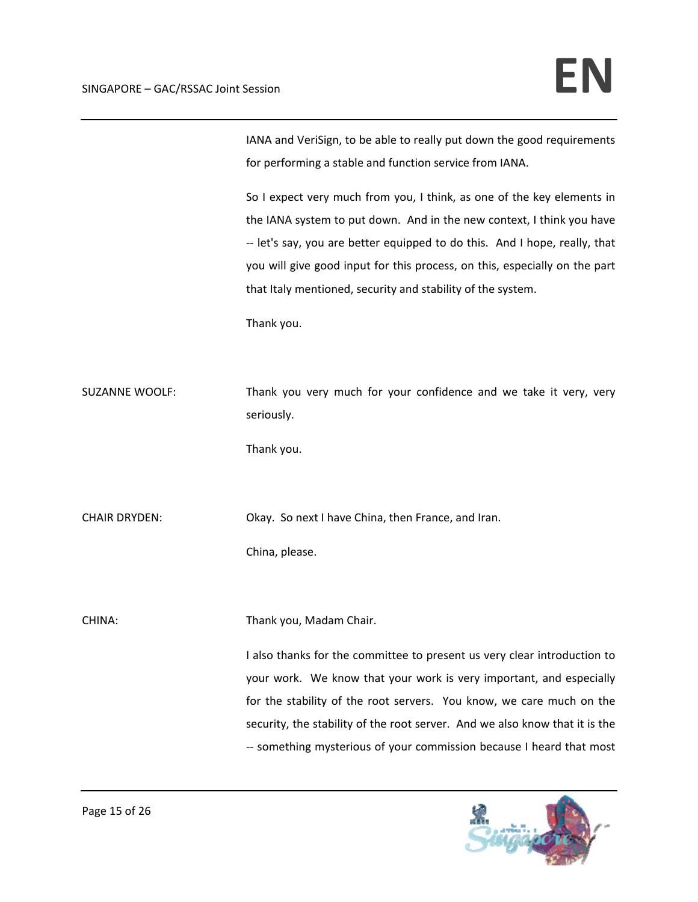IANA and VeriSign, to be able to really put down the good requirements for performing a stable and function service from IANA.

So I expect very much from you, I think, as one of the key elements in the IANA system to put down. And in the new context, I think you have ‐‐ let's say, you are better equipped to do this. And I hope, really, that you will give good input for this process, on this, especially on the part that Italy mentioned, security and stability of the system.

Thank you.

SUZANNE WOOLF: Thank you very much for your confidence and we take it very, very seriously.

Thank you.

CHAIR DRYDEN: CHAIR DRYDEN: Okay. So next I have China, then France, and Iran.

China, please.

CHINA: CHINA: Thank you, Madam Chair.

I also thanks for the committee to present us very clear introduction to your work. We know that your work is very important, and especially for the stability of the root servers. You know, we care much on the security, the stability of the root server. And we also know that it is the ‐‐ something mysterious of your commission because I heard that most

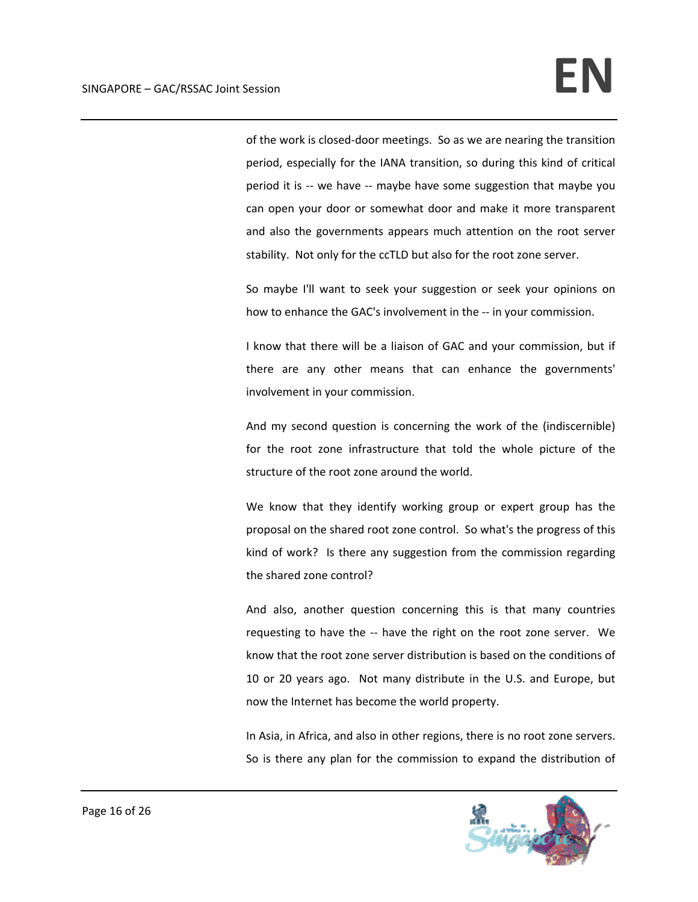of the work is closed‐door meetings. So as we are nearing the transition period, especially for the IANA transition, so during this kind of critical period it is -- we have -- maybe have some suggestion that maybe you can open your door or somewhat door and make it more transparent and also the governments appears much attention on the root server stability. Not only for the ccTLD but also for the root zone server.

So maybe I'll want to seek your suggestion or seek your opinions on how to enhance the GAC's involvement in the ‐‐ in your commission.

I know that there will be a liaison of GAC and your commission, but if there are any other means that can enhance the governments' involvement in your commission.

And my second question is concerning the work of the (indiscernible) for the root zone infrastructure that told the whole picture of the structure of the root zone around the world.

We know that they identify working group or expert group has the proposal on the shared root zone control. So what's the progress of this kind of work? Is there any suggestion from the commission regarding the shared zone control?

And also, another question concerning this is that many countries requesting to have the -- have the right on the root zone server. We know that the root zone server distribution is based on the conditions of 10 or 20 years ago. Not many distribute in the U.S. and Europe, but now the Internet has become the world property.

In Asia, in Africa, and also in other regions, there is no root zone servers. So is there any plan for the commission to expand the distribution of

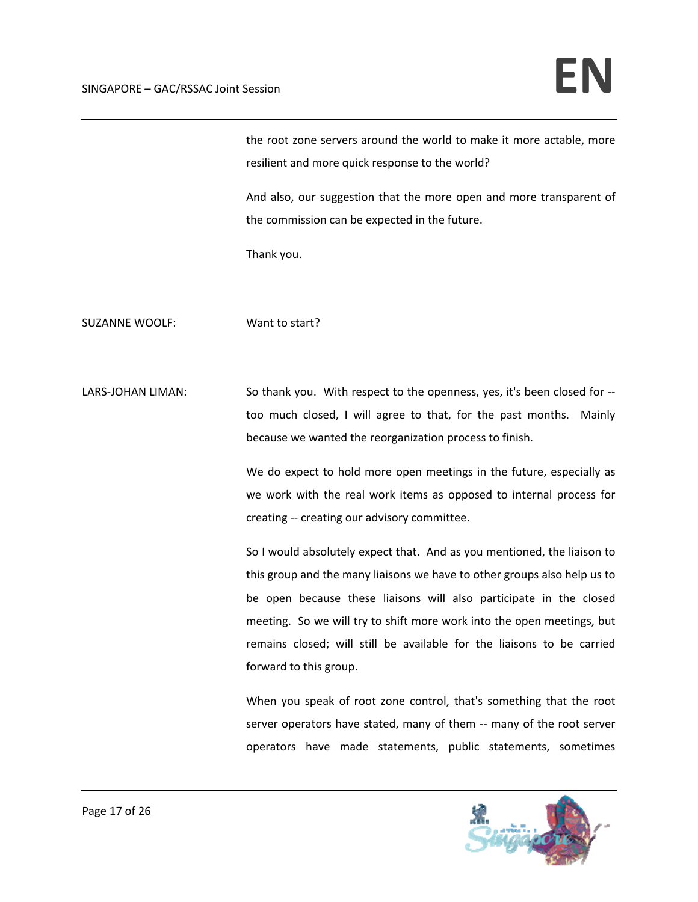the root zone servers around the world to make it more actable, more resilient and more quick response to the world?

And also, our suggestion that the more open and more transparent of the commission can be expected in the future.

Thank you.

SUZANNE WOOLF: Want to start?

LARS-JOHAN LIMAN: So thank you. With respect to the openness, yes, it's been closed for -too much closed, I will agree to that, for the past months. Mainly because we wanted the reorganization process to finish.

> We do expect to hold more open meetings in the future, especially as we work with the real work items as opposed to internal process for creating ‐‐ creating our advisory committee.

> So I would absolutely expect that. And as you mentioned, the liaison to this group and the many liaisons we have to other groups also help us to be open because these liaisons will also participate in the closed meeting. So we will try to shift more work into the open meetings, but remains closed; will still be available for the liaisons to be carried forward to this group.

> When you speak of root zone control, that's something that the root server operators have stated, many of them -- many of the root server operators have made statements, public statements, sometimes

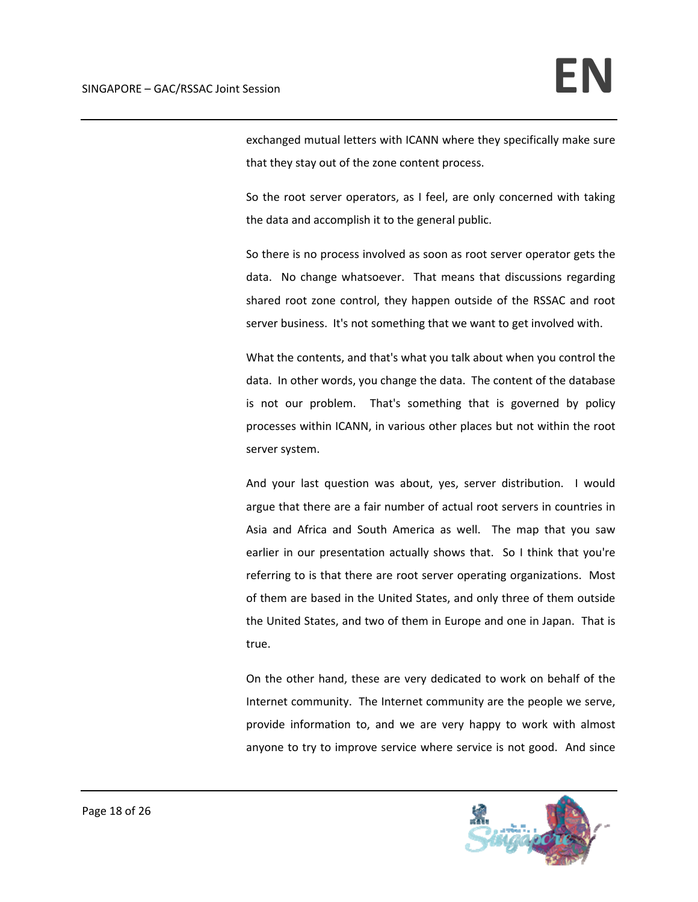exchanged mutual letters with ICANN where they specifically make sure that they stay out of the zone content process.

So the root server operators, as I feel, are only concerned with taking the data and accomplish it to the general public.

So there is no process involved as soon as root server operator gets the data. No change whatsoever. That means that discussions regarding shared root zone control, they happen outside of the RSSAC and root server business. It's not something that we want to get involved with.

What the contents, and that's what you talk about when you control the data. In other words, you change the data. The content of the database is not our problem. That's something that is governed by policy processes within ICANN, in various other places but not within the root server system.

And your last question was about, yes, server distribution. I would argue that there are a fair number of actual root servers in countries in Asia and Africa and South America as well. The map that you saw earlier in our presentation actually shows that. So I think that you're referring to is that there are root server operating organizations. Most of them are based in the United States, and only three of them outside the United States, and two of them in Europe and one in Japan. That is true.

On the other hand, these are very dedicated to work on behalf of the Internet community. The Internet community are the people we serve, provide information to, and we are very happy to work with almost anyone to try to improve service where service is not good. And since

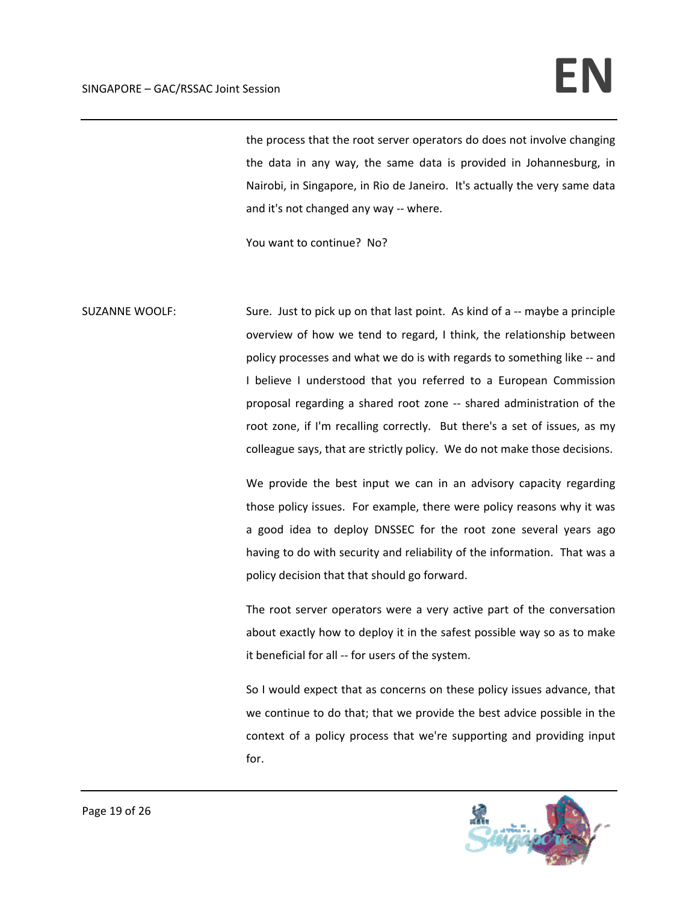# SINGAPORE – GAC/RSSAC Joint Session **EN**

the process that the root server operators do does not involve changing the data in any way, the same data is provided in Johannesburg, in Nairobi, in Singapore, in Rio de Janeiro. It's actually the very same data and it's not changed any way ‐‐ where.

You want to continue? No?

SUZANNE WOOLF: Sure. Just to pick up on that last point. As kind of a -- maybe a principle overview of how we tend to regard, I think, the relationship between policy processes and what we do is with regards to something like ‐‐ and I believe I understood that you referred to a European Commission proposal regarding a shared root zone ‐‐ shared administration of the root zone, if I'm recalling correctly. But there's a set of issues, as my colleague says, that are strictly policy. We do not make those decisions.

> We provide the best input we can in an advisory capacity regarding those policy issues. For example, there were policy reasons why it was a good idea to deploy DNSSEC for the root zone several years ago having to do with security and reliability of the information. That was a policy decision that that should go forward.

> The root server operators were a very active part of the conversation about exactly how to deploy it in the safest possible way so as to make it beneficial for all ‐‐ for users of the system.

> So I would expect that as concerns on these policy issues advance, that we continue to do that; that we provide the best advice possible in the context of a policy process that we're supporting and providing input for.

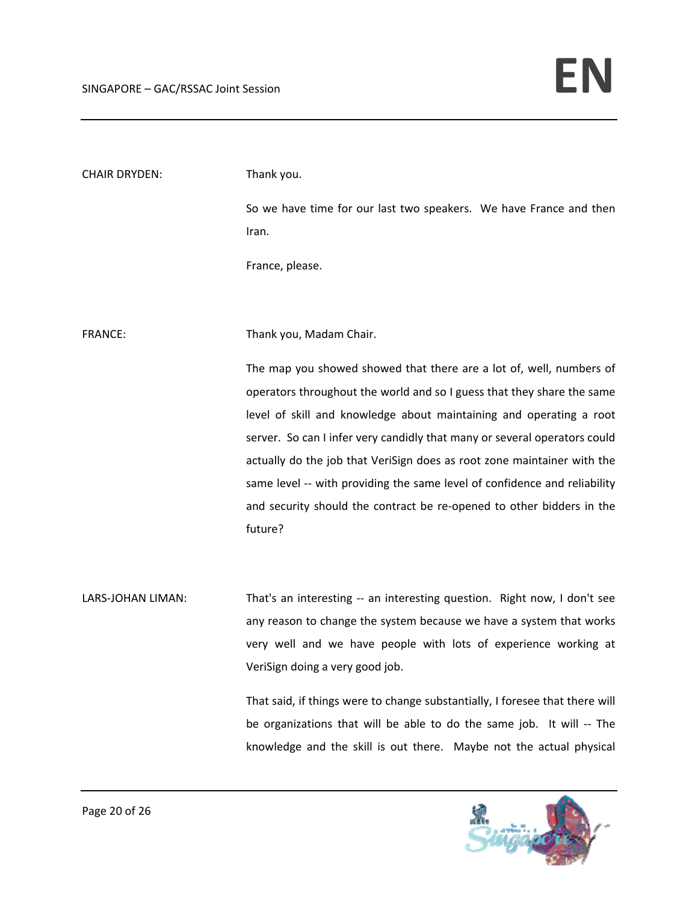| <b>CHAIR DRYDEN:</b> | Thank you.                                                                  |
|----------------------|-----------------------------------------------------------------------------|
|                      | So we have time for our last two speakers. We have France and then<br>Iran. |
|                      | France, please.                                                             |
|                      |                                                                             |
| <b>FRANCE:</b>       | Thank you, Madam Chair.                                                     |
|                      | The map you showed showed that there are a lot of, well, numbers of         |
|                      | operators throughout the world and so I guess that they share the same      |
|                      | level of skill and knowledge about maintaining and operating a root         |
|                      | server. So can I infer very candidly that many or several operators could   |
|                      | actually do the job that VeriSign does as root zone maintainer with the     |
|                      | same level -- with providing the same level of confidence and reliability   |
|                      | and security should the contract be re-opened to other bidders in the       |
|                      | future?                                                                     |
|                      |                                                                             |
| LARS-JOHAN LIMAN:    | That's an interesting -- an interesting question. Right now, I don't see    |
|                      | any reason to change the system because we have a system that works         |
|                      | very well and we have people with lots of experience working at             |

VeriSign doing a very good job.

That said, if things were to change substantially, I foresee that there will be organizations that will be able to do the same job. It will ‐‐ The knowledge and the skill is out there. Maybe not the actual physical

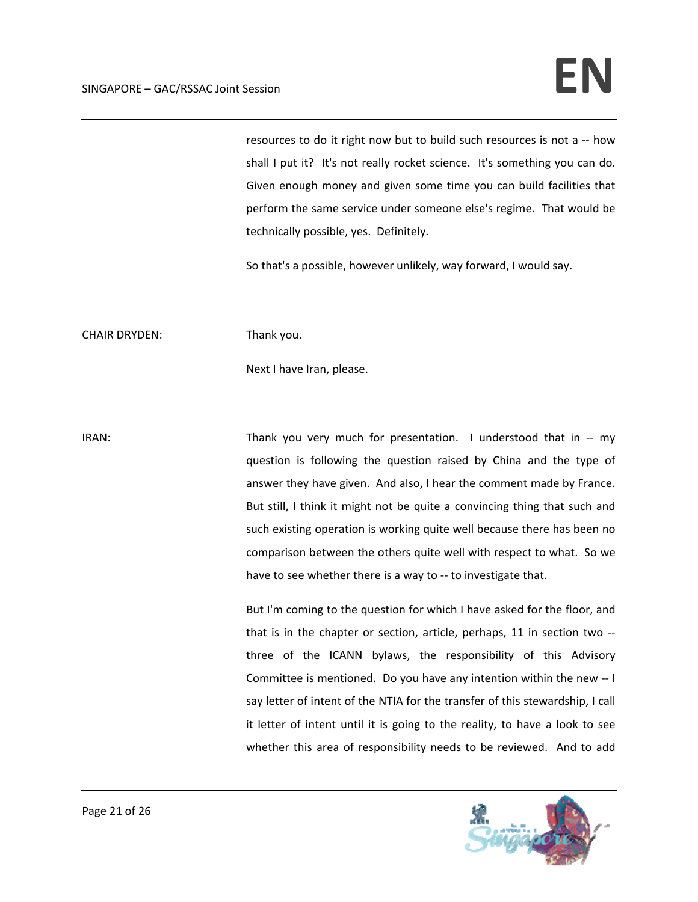resources to do it right now but to build such resources is not a ‐‐ how shall I put it? It's not really rocket science. It's something you can do. Given enough money and given some time you can build facilities that perform the same service under someone else's regime. That would be technically possible, yes. Definitely.

So that's a possible, however unlikely, way forward, I would say.

CHAIR DRYDEN: Thank you.

Next I have Iran, please.

IRAN: Thank you very much for presentation. I understood that in -- my question is following the question raised by China and the type of answer they have given. And also, I hear the comment made by France. But still, I think it might not be quite a convincing thing that such and such existing operation is working quite well because there has been no comparison between the others quite well with respect to what. So we have to see whether there is a way to -- to investigate that.

> But I'm coming to the question for which I have asked for the floor, and that is in the chapter or section, article, perhaps, 11 in section two ‐‐ three of the ICANN bylaws, the responsibility of this Advisory Committee is mentioned. Do you have any intention within the new ‐‐ I say letter of intent of the NTIA for the transfer of this stewardship, I call it letter of intent until it is going to the reality, to have a look to see whether this area of responsibility needs to be reviewed. And to add

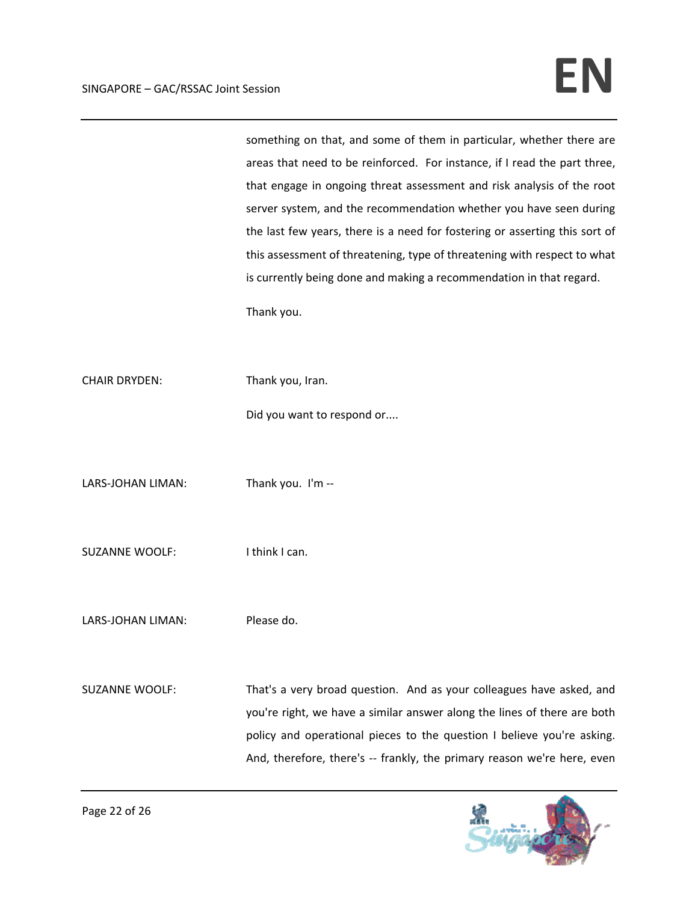something on that, and some of them in particular, whether there are areas that need to be reinforced. For instance, if I read the part three, that engage in ongoing threat assessment and risk analysis of the root server system, and the recommendation whether you have seen during the last few years, there is a need for fostering or asserting this sort of this assessment of threatening, type of threatening with respect to what is currently being done and making a recommendation in that regard. Thank you. CHAIR DRYDEN: Thank you, Iran. Did you want to respond or....

LARS-JOHAN LIMAN: Thank you. I'm --

SUZANNE WOOLF: lthink I can.

LARS-JOHAN LIMAN: Please do.

SUZANNE WOOLF: That's a very broad question. And as your colleagues have asked, and you're right, we have a similar answer along the lines of there are both policy and operational pieces to the question I believe you're asking. And, therefore, there's -- frankly, the primary reason we're here, even

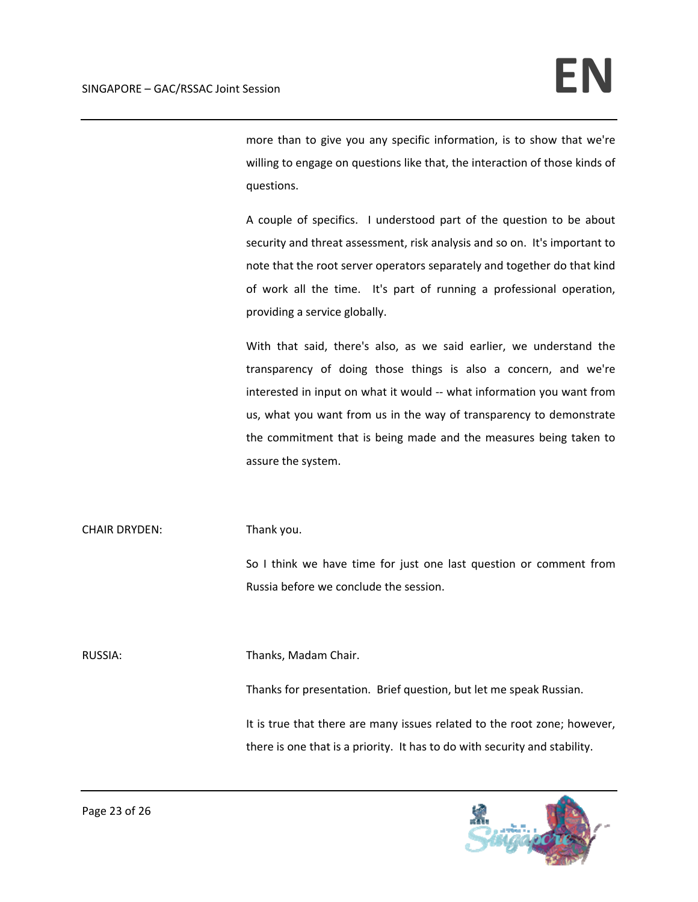more than to give you any specific information, is to show that we're willing to engage on questions like that, the interaction of those kinds of questions.

A couple of specifics. I understood part of the question to be about security and threat assessment, risk analysis and so on. It's important to note that the root server operators separately and together do that kind of work all the time. It's part of running a professional operation, providing a service globally.

With that said, there's also, as we said earlier, we understand the transparency of doing those things is also a concern, and we're interested in input on what it would ‐‐ what information you want from us, what you want from us in the way of transparency to demonstrate the commitment that is being made and the measures being taken to assure the system.

CHAIR DRYDEN: Thank you.

So I think we have time for just one last question or comment from Russia before we conclude the session.

RUSSIA: Thanks, Madam Chair.

Thanks for presentation. Brief question, but let me speak Russian.

It is true that there are many issues related to the root zone; however, there is one that is a priority. It has to do with security and stability.

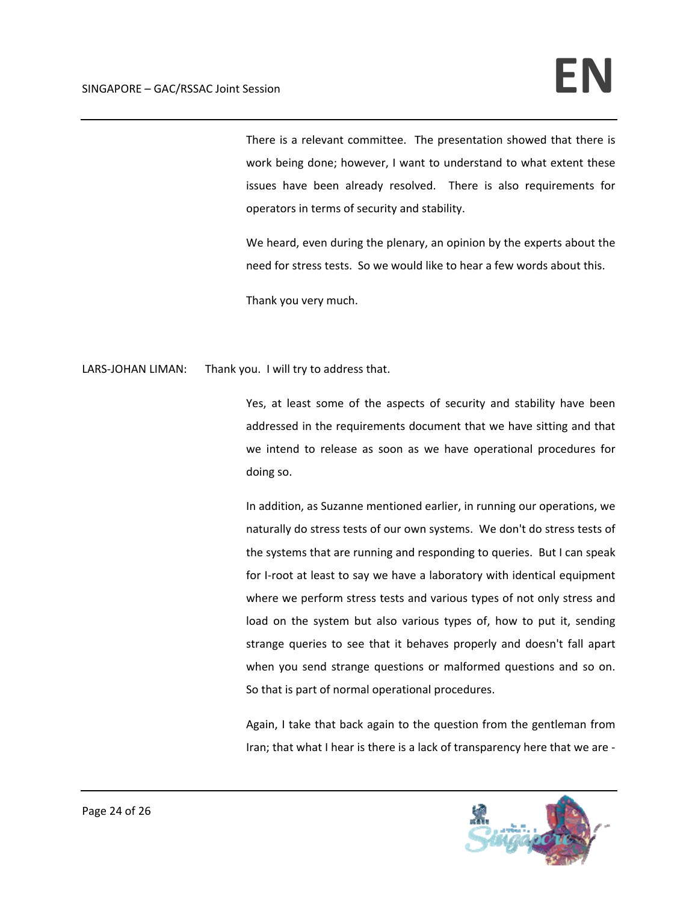There is a relevant committee. The presentation showed that there is work being done; however, I want to understand to what extent these issues have been already resolved. There is also requirements for operators in terms of security and stability.

We heard, even during the plenary, an opinion by the experts about the need for stress tests. So we would like to hear a few words about this.

Thank you very much.

LARS-JOHAN LIMAN: Thank you. I will try to address that.

Yes, at least some of the aspects of security and stability have been addressed in the requirements document that we have sitting and that we intend to release as soon as we have operational procedures for doing so.

In addition, as Suzanne mentioned earlier, in running our operations, we naturally do stress tests of our own systems. We don't do stress tests of the systems that are running and responding to queries. But I can speak for I-root at least to say we have a laboratory with identical equipment where we perform stress tests and various types of not only stress and load on the system but also various types of, how to put it, sending strange queries to see that it behaves properly and doesn't fall apart when you send strange questions or malformed questions and so on. So that is part of normal operational procedures.

Again, I take that back again to the question from the gentleman from Iran; that what I hear is there is a lack of transparency here that we are ‐

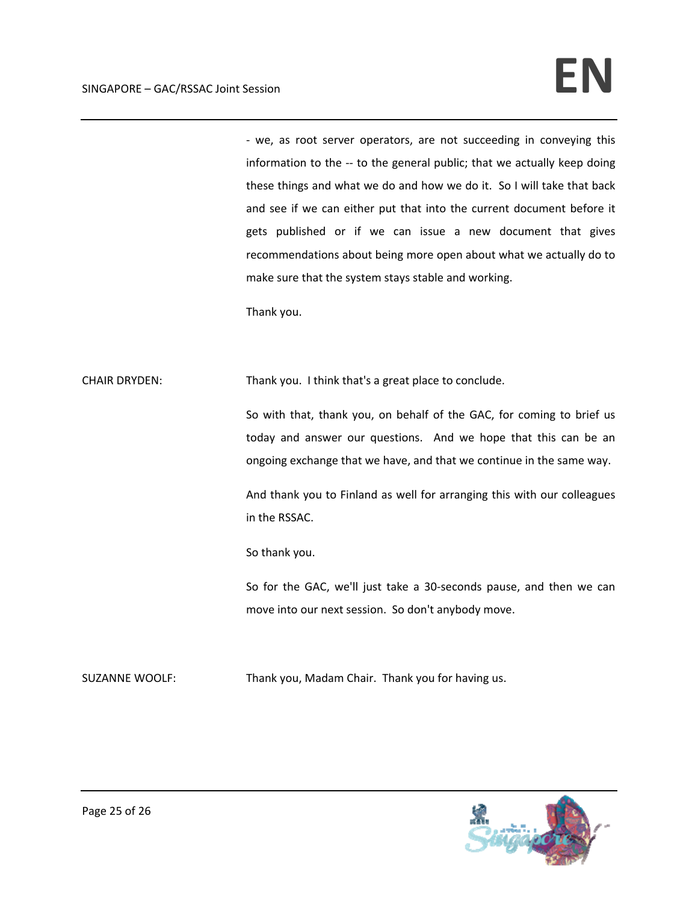‐ we, as root server operators, are not succeeding in conveying this information to the -- to the general public; that we actually keep doing these things and what we do and how we do it. So I will take that back and see if we can either put that into the current document before it gets published or if we can issue a new document that gives recommendations about being more open about what we actually do to make sure that the system stays stable and working.

Thank you.

CHAIR DRYDEN: Thank you. I think that's a great place to conclude.

So with that, thank you, on behalf of the GAC, for coming to brief us today and answer our questions. And we hope that this can be an ongoing exchange that we have, and that we continue in the same way.

And thank you to Finland as well for arranging this with our colleagues in the RSSAC.

So thank you.

So for the GAC, we'll just take a 30‐seconds pause, and then we can move into our next session. So don't anybody move.

SUZANNE WOOLF: Thank you, Madam Chair. Thank you for having us.